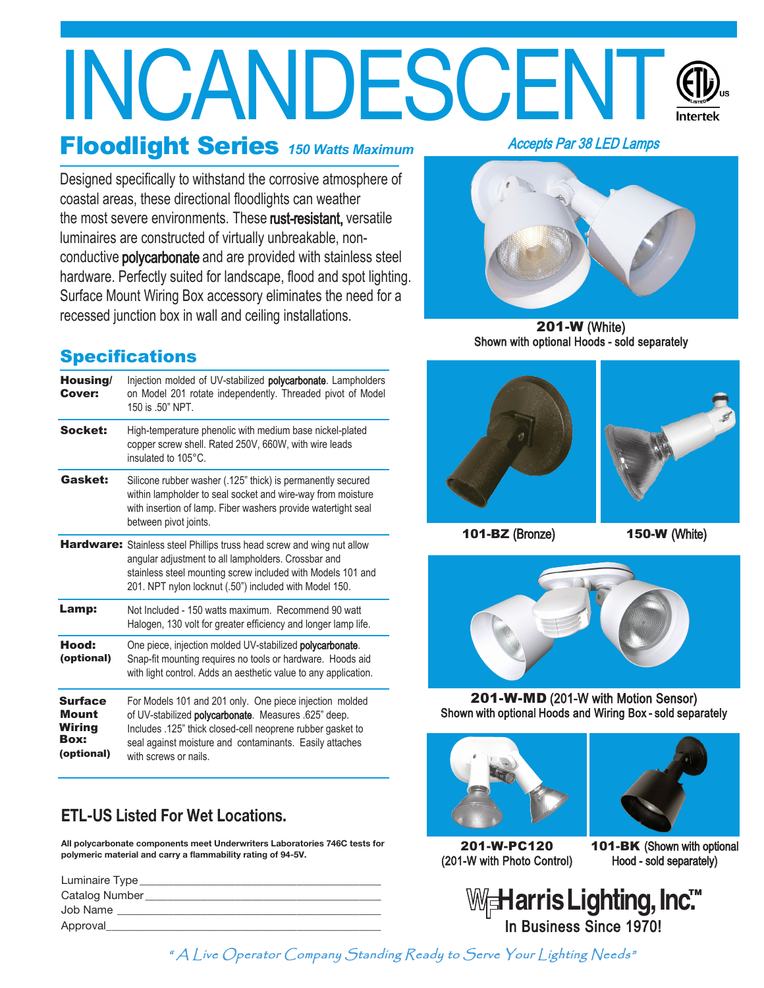# INCANDESCENT

### Floodlight Series *150 Watts Maximum*

Designed specifically to withstand the corrosive atmosphere of coastal areas, these directional floodlights can weather the most severe environments. These rust-resistant, versatile luminaires are constructed of virtually unbreakable, nonconductive polycarbonate and are provided with stainless steel hardware. Perfectly suited for landscape, flood and spot lighting. Surface Mount Wiring Box accessory eliminates the need for a recessed junction box in wall and ceiling installations.

#### **Specifications**

| Housing/<br><b>Cover:</b>                                      | Injection molded of UV-stabilized <b>polycarbonate</b> . Lampholders<br>on Model 201 rotate independently. Threaded pivot of Model<br>150 is .50" NPT.                                                                                                            |
|----------------------------------------------------------------|-------------------------------------------------------------------------------------------------------------------------------------------------------------------------------------------------------------------------------------------------------------------|
| Socket:                                                        | High-temperature phenolic with medium base nickel-plated<br>copper screw shell. Rated 250V, 660W, with wire leads<br>insulated to 105°C.                                                                                                                          |
| Gasket:                                                        | Silicone rubber washer (.125" thick) is permanently secured<br>within lampholder to seal socket and wire-way from moisture<br>with insertion of lamp. Fiber washers provide watertight seal<br>between pivot joints.                                              |
|                                                                | Hardware: Stainless steel Phillips truss head screw and wing nut allow<br>angular adjustment to all lampholders. Crossbar and<br>stainless steel mounting screw included with Models 101 and<br>201. NPT nylon locknut (.50") included with Model 150.            |
| Lamp:                                                          | Not Included - 150 watts maximum. Recommend 90 watt<br>Halogen, 130 volt for greater efficiency and longer lamp life.                                                                                                                                             |
| Hood:<br>(optional)                                            | One piece, injection molded UV-stabilized polycarbonate.<br>Snap-fit mounting requires no tools or hardware. Hoods aid<br>with light control. Adds an aesthetic value to any application.                                                                         |
| <b>Surface</b><br><b>Mount</b><br>Wiring<br>Box:<br>(optional) | For Models 101 and 201 only. One piece injection molded<br>of UV-stabilized polycarbonate. Measures .625" deep.<br>Includes .125" thick closed-cell neoprene rubber gasket to<br>seal against moisture and contaminants. Easily attaches<br>with screws or nails. |

#### **ETL-US Listed For Wet Locations.**

**All polycarbonate components meet Underwriters Laboratories 746C tests for polymeric material and carry a flammability rating of 94-5V.**

| Luminaire Type |
|----------------|
| Catalog Number |
| Job Name       |
| Approval       |

Accepts Par 38 LED Lamps



201-W (White) Shown with optional Hoods - sold separately





101-BZ (Bronze) 150-W (White)



201-W-MD (201-W with Motion Sensor) Shown with optional Hoods and Wiring Box - sold separately





201-W-PC120 (201-W with Photo Control)

101-BK (Shown with optional Hood - sold separately)

Harris Lighting, Inc<sup>™</sup> In Business Since 1970!

" A Live Operator Company Standing Ready to Serve Your Lighting Needs"